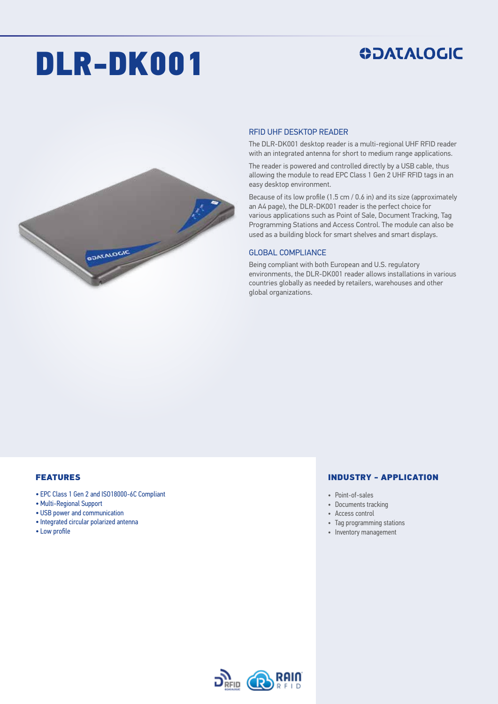# DLR-DK001

## **ODATALOGIC**



#### RFID UHF DESKTOP READER

The DLR-DK001 desktop reader is a multi-regional UHF RFID reader with an integrated antenna for short to medium range applications.

The reader is powered and controlled directly by a USB cable, thus allowing the module to read EPC Class 1 Gen 2 UHF RFID tags in an easy desktop environment.

Because of its low profile (1.5 cm / 0.6 in) and its size (approximately an A4 page), the DLR-DK001 reader is the perfect choice for various applications such as Point of Sale, Document Tracking, Tag Programming Stations and Access Control. The module can also be used as a building block for smart shelves and smart displays.

#### GLOBAL COMPLIANCE

Being compliant with both European and U.S. regulatory environments, the DLR-DK001 reader allows installations in various countries globally as needed by retailers, warehouses and other global organizations.

#### FEATURES

- EPC Class 1 Gen 2 and ISO18000-6C Compliant
- Multi-Regional Support
- USB power and communication
- Integrated circular polarized antenna
- Low profile

#### INDUSTRY - APPLICATION

- Point-of-sales
- Documents tracking
- Access control
- Tag programming stations
- Inventory management